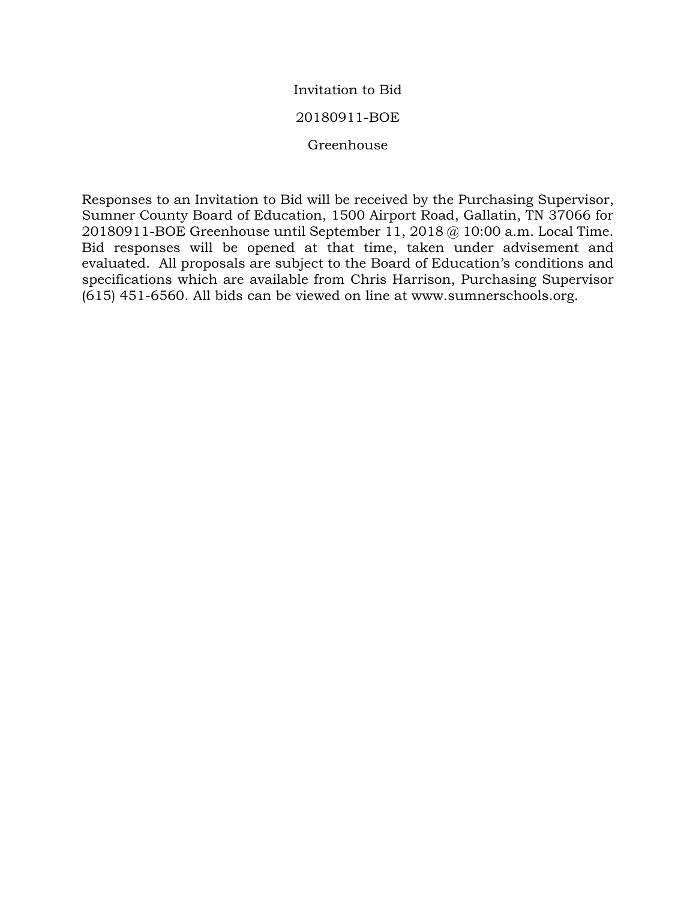### Invitation to Bid

#### 20180911-BOE

Greenhouse

Responses to an Invitation to Bid will be received by the Purchasing Supervisor, Sumner County Board of Education, 1500 Airport Road, Gallatin, TN 37066 for 20180911-BOE Greenhouse until September 11, 2018 @ 10:00 a.m. Local Time. Bid responses will be opened at that time, taken under advisement and evaluated. All proposals are subject to the Board of Education's conditions and specifications which are available from Chris Harrison, Purchasing Supervisor (615) 451-6560. All bids can be viewed on line at www.sumnerschools.org.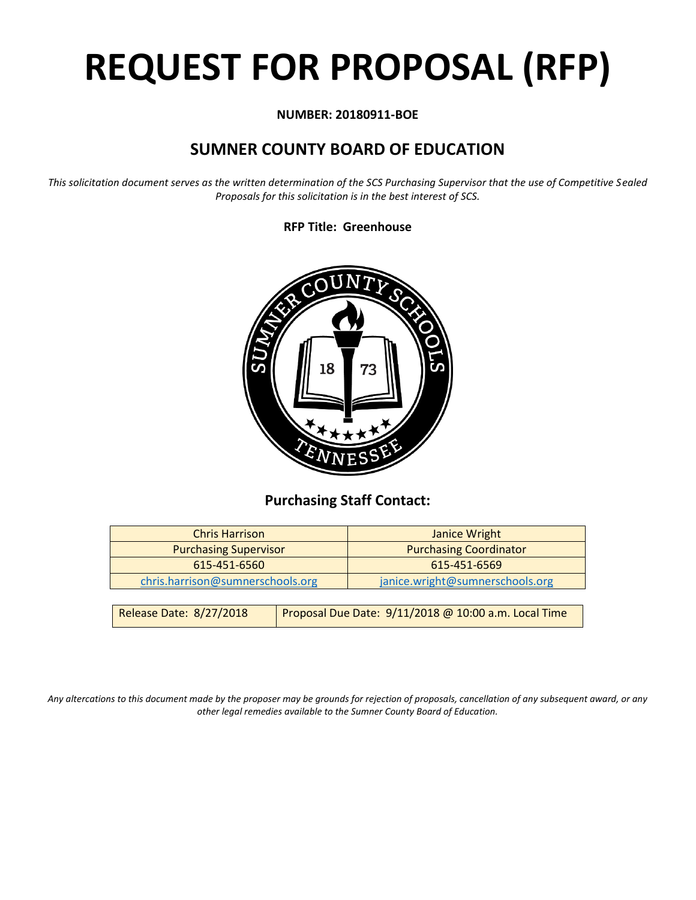# **REQUEST FOR PROPOSAL (RFP)**

#### **NUMBER: 20180911-BOE**

# **SUMNER COUNTY BOARD OF EDUCATION**

*This solicitation document serves as the written determination of the SCS Purchasing Supervisor that the use of Competitive Sealed Proposals for this solicitation is in the best interest of SCS.*

#### **RFP Title: Greenhouse**



## **Purchasing Staff Contact:**

| <b>Chris Harrison</b>            |                                                      | <b>Janice Wright</b>            |  |
|----------------------------------|------------------------------------------------------|---------------------------------|--|
| <b>Purchasing Supervisor</b>     |                                                      | <b>Purchasing Coordinator</b>   |  |
| 615-451-6560                     |                                                      | 615-451-6569                    |  |
| chris.harrison@sumnerschools.org |                                                      | janice.wright@sumnerschools.org |  |
|                                  |                                                      |                                 |  |
| Release Date: 8/27/2018          | Proposal Due Date: 9/11/2018 @ 10:00 a.m. Local Time |                                 |  |

*Any altercations to this document made by the proposer may be grounds for rejection of proposals, cancellation of any subsequent award, or any other legal remedies available to the Sumner County Board of Education.*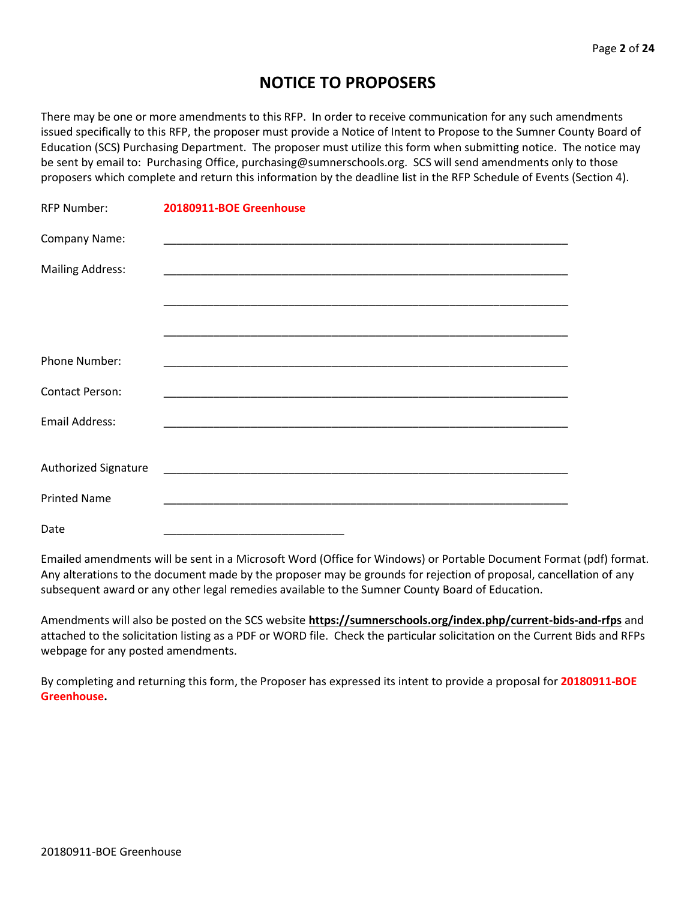## **NOTICE TO PROPOSERS**

There may be one or more amendments to this RFP. In order to receive communication for any such amendments issued specifically to this RFP, the proposer must provide a Notice of Intent to Propose to the Sumner County Board of Education (SCS) Purchasing Department. The proposer must utilize this form when submitting notice. The notice may be sent by email to: Purchasing Office, purchasing@sumnerschools.org. SCS will send amendments only to those proposers which complete and return this information by the deadline list in the RFP Schedule of Events (Section 4).

| <b>RFP Number:</b>      | 20180911-BOE Greenhouse                                                                                              |
|-------------------------|----------------------------------------------------------------------------------------------------------------------|
| Company Name:           |                                                                                                                      |
| <b>Mailing Address:</b> |                                                                                                                      |
|                         |                                                                                                                      |
|                         |                                                                                                                      |
| Phone Number:           |                                                                                                                      |
| <b>Contact Person:</b>  |                                                                                                                      |
| <b>Email Address:</b>   |                                                                                                                      |
|                         |                                                                                                                      |
| Authorized Signature    | <u> 2000 - Jan James James Jan James James James James James James James James James James James James James Jam</u> |
| <b>Printed Name</b>     |                                                                                                                      |
| Date                    |                                                                                                                      |

Emailed amendments will be sent in a Microsoft Word (Office for Windows) or Portable Document Format (pdf) format. Any alterations to the document made by the proposer may be grounds for rejection of proposal, cancellation of any subsequent award or any other legal remedies available to the Sumner County Board of Education.

Amendments will also be posted on the SCS website **https://sumnerschools.org/index.php/current-bids-and-rfps** and attached to the solicitation listing as a PDF or WORD file. Check the particular solicitation on the Current Bids and RFPs webpage for any posted amendments.

By completing and returning this form, the Proposer has expressed its intent to provide a proposal for **20180911-BOE Greenhouse.**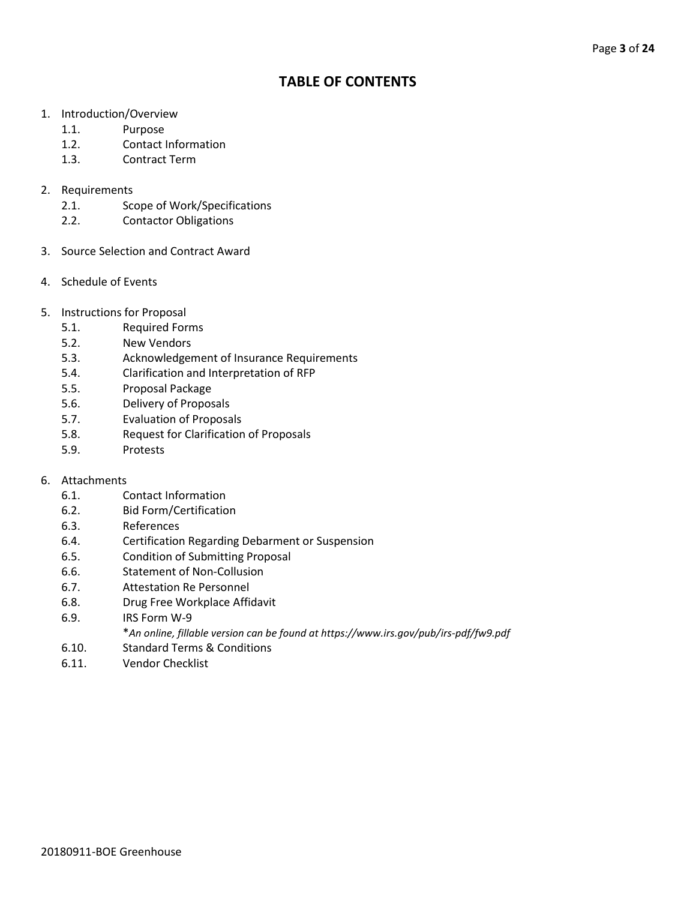## **TABLE OF CONTENTS**

- 1. Introduction/Overview
	- 1.1. Purpose
	- 1.2. Contact Information
	- 1.3. Contract Term
- 2. Requirements
	- 2.1. Scope of Work/Specifications
	- 2.2. Contactor Obligations
- 3. Source Selection and Contract Award
- 4. Schedule of Events
- 5. Instructions for Proposal
	- 5.1. Required Forms
	- 5.2. New Vendors
	- 5.3. Acknowledgement of Insurance Requirements
	- 5.4. Clarification and Interpretation of RFP
	- 5.5. Proposal Package
	- 5.6. Delivery of Proposals
	- 5.7. Evaluation of Proposals
	- 5.8. Request for Clarification of Proposals
	- 5.9. Protests

#### 6. Attachments

- 6.1. Contact Information
- 6.2. Bid Form/Certification
- 6.3. References
- 6.4. Certification Regarding Debarment or Suspension
- 6.5. Condition of Submitting Proposal
- 6.6. Statement of Non-Collusion
- 6.7. Attestation Re Personnel
- 6.8. Drug Free Workplace Affidavit
- 6.9. IRS Form W-9
	- \**An online, fillable version can be found at https://www.irs.gov/pub/irs-pdf/fw9.pdf*
- 6.10. Standard Terms & Conditions
- 6.11. Vendor Checklist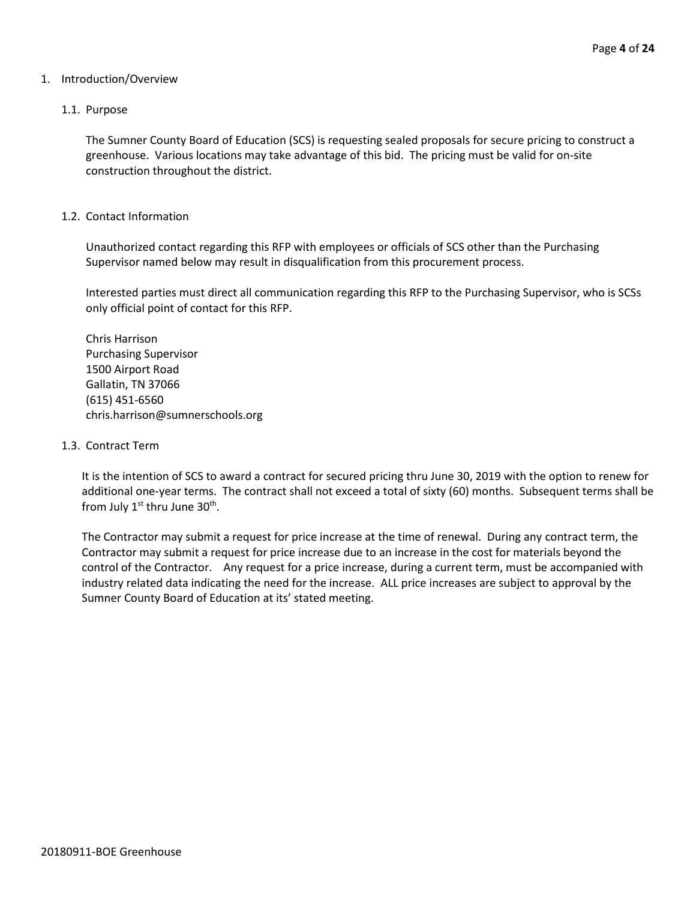#### 1. Introduction/Overview

#### 1.1. Purpose

The Sumner County Board of Education (SCS) is requesting sealed proposals for secure pricing to construct a greenhouse. Various locations may take advantage of this bid. The pricing must be valid for on-site construction throughout the district.

#### 1.2. Contact Information

Unauthorized contact regarding this RFP with employees or officials of SCS other than the Purchasing Supervisor named below may result in disqualification from this procurement process.

Interested parties must direct all communication regarding this RFP to the Purchasing Supervisor, who is SCSs only official point of contact for this RFP.

Chris Harrison Purchasing Supervisor 1500 Airport Road Gallatin, TN 37066 (615) 451-6560 chris.harrison@sumnerschools.org

#### 1.3. Contract Term

It is the intention of SCS to award a contract for secured pricing thru June 30, 2019 with the option to renew for additional one-year terms. The contract shall not exceed a total of sixty (60) months. Subsequent terms shall be from July  $1^{\text{st}}$  thru June  $30^{\text{th}}$ .

The Contractor may submit a request for price increase at the time of renewal. During any contract term, the Contractor may submit a request for price increase due to an increase in the cost for materials beyond the control of the Contractor. Any request for a price increase, during a current term, must be accompanied with industry related data indicating the need for the increase. ALL price increases are subject to approval by the Sumner County Board of Education at its' stated meeting.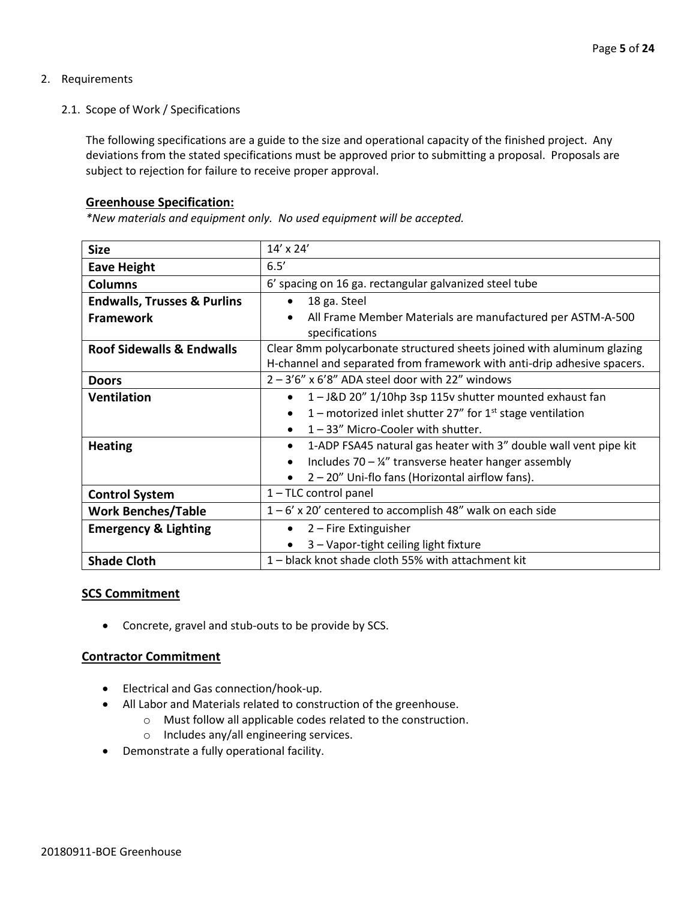#### 2. Requirements

2.1. Scope of Work / Specifications

The following specifications are a guide to the size and operational capacity of the finished project. Any deviations from the stated specifications must be approved prior to submitting a proposal. Proposals are subject to rejection for failure to receive proper approval.

#### **Greenhouse Specification:**

*\*New materials and equipment only. No used equipment will be accepted.*

| <b>Size</b>                            | 14' x 24'                                                                     |
|----------------------------------------|-------------------------------------------------------------------------------|
| <b>Eave Height</b>                     | 6.5'                                                                          |
| <b>Columns</b>                         | 6' spacing on 16 ga. rectangular galvanized steel tube                        |
| <b>Endwalls, Trusses &amp; Purlins</b> | 18 ga. Steel                                                                  |
| <b>Framework</b>                       | All Frame Member Materials are manufactured per ASTM-A-500                    |
|                                        | specifications                                                                |
| <b>Roof Sidewalls &amp; Endwalls</b>   | Clear 8mm polycarbonate structured sheets joined with aluminum glazing        |
|                                        | H-channel and separated from framework with anti-drip adhesive spacers.       |
| <b>Doors</b>                           | $2 - 3'6''$ x 6'8" ADA steel door with 22" windows                            |
| <b>Ventilation</b>                     | 1-J&D 20" 1/10hp 3sp 115v shutter mounted exhaust fan                         |
|                                        | 1 – motorized inlet shutter 27" for $1st$ stage ventilation                   |
|                                        | 1-33" Micro-Cooler with shutter.                                              |
| <b>Heating</b>                         | 1-ADP FSA45 natural gas heater with 3" double wall vent pipe kit<br>$\bullet$ |
|                                        | Includes $70 - \frac{1}{4}$ transverse heater hanger assembly                 |
|                                        | 2 – 20" Uni-flo fans (Horizontal airflow fans).                               |
| <b>Control System</b>                  | 1-TLC control panel                                                           |
| <b>Work Benches/Table</b>              | $1-6'$ x 20' centered to accomplish 48" walk on each side                     |
| <b>Emergency &amp; Lighting</b>        | 2 – Fire Extinguisher                                                         |
|                                        | 3 - Vapor-tight ceiling light fixture                                         |
| <b>Shade Cloth</b>                     | 1 - black knot shade cloth 55% with attachment kit                            |

#### **SCS Commitment**

• Concrete, gravel and stub-outs to be provide by SCS.

#### **Contractor Commitment**

- Electrical and Gas connection/hook-up.
- All Labor and Materials related to construction of the greenhouse.
	- o Must follow all applicable codes related to the construction.
	- o Includes any/all engineering services.
- Demonstrate a fully operational facility.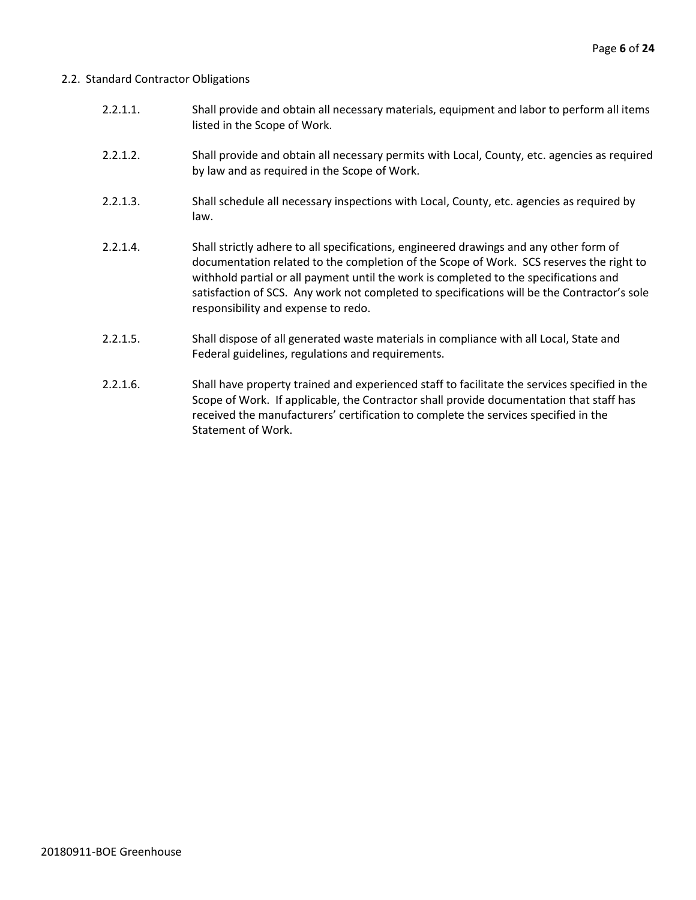#### 2.2. Standard Contractor Obligations

- 2.2.1.1. Shall provide and obtain all necessary materials, equipment and labor to perform all items listed in the Scope of Work.
- 2.2.1.2. Shall provide and obtain all necessary permits with Local, County, etc. agencies as required by law and as required in the Scope of Work.
- 2.2.1.3. Shall schedule all necessary inspections with Local, County, etc. agencies as required by law.
- 2.2.1.4. Shall strictly adhere to all specifications, engineered drawings and any other form of documentation related to the completion of the Scope of Work. SCS reserves the right to withhold partial or all payment until the work is completed to the specifications and satisfaction of SCS. Any work not completed to specifications will be the Contractor's sole responsibility and expense to redo.
- 2.2.1.5. Shall dispose of all generated waste materials in compliance with all Local, State and Federal guidelines, regulations and requirements.
- 2.2.1.6. Shall have property trained and experienced staff to facilitate the services specified in the Scope of Work. If applicable, the Contractor shall provide documentation that staff has received the manufacturers' certification to complete the services specified in the Statement of Work.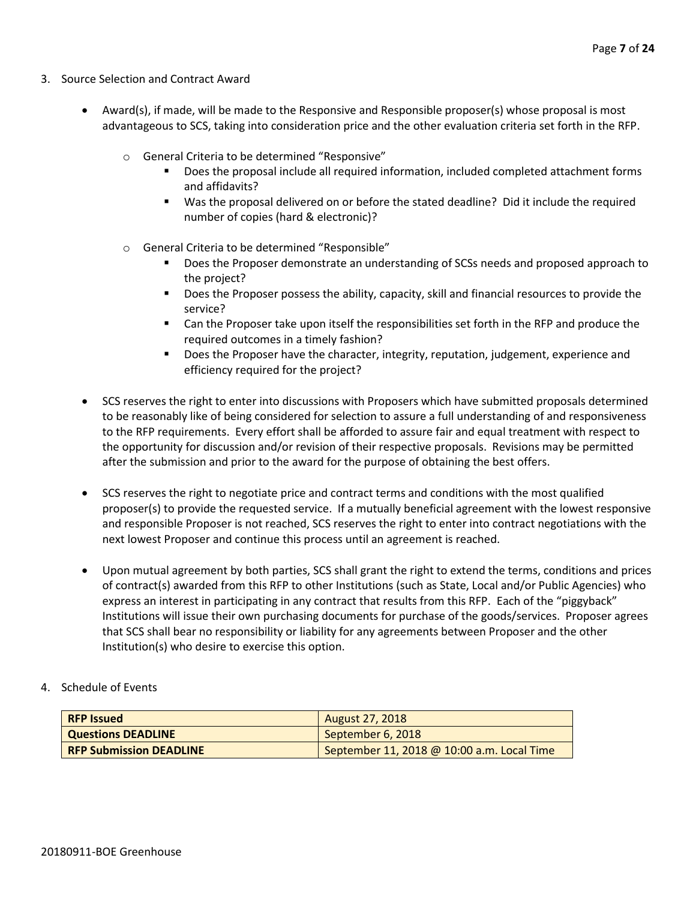- 3. Source Selection and Contract Award
	- Award(s), if made, will be made to the Responsive and Responsible proposer(s) whose proposal is most advantageous to SCS, taking into consideration price and the other evaluation criteria set forth in the RFP.
		- o General Criteria to be determined "Responsive"
			- Does the proposal include all required information, included completed attachment forms and affidavits?
			- Was the proposal delivered on or before the stated deadline? Did it include the required number of copies (hard & electronic)?
		- o General Criteria to be determined "Responsible"
			- Does the Proposer demonstrate an understanding of SCSs needs and proposed approach to the project?
			- Does the Proposer possess the ability, capacity, skill and financial resources to provide the service?
			- Can the Proposer take upon itself the responsibilities set forth in the RFP and produce the required outcomes in a timely fashion?
			- **■** Does the Proposer have the character, integrity, reputation, judgement, experience and efficiency required for the project?
	- SCS reserves the right to enter into discussions with Proposers which have submitted proposals determined to be reasonably like of being considered for selection to assure a full understanding of and responsiveness to the RFP requirements. Every effort shall be afforded to assure fair and equal treatment with respect to the opportunity for discussion and/or revision of their respective proposals. Revisions may be permitted after the submission and prior to the award for the purpose of obtaining the best offers.
	- SCS reserves the right to negotiate price and contract terms and conditions with the most qualified proposer(s) to provide the requested service. If a mutually beneficial agreement with the lowest responsive and responsible Proposer is not reached, SCS reserves the right to enter into contract negotiations with the next lowest Proposer and continue this process until an agreement is reached.
	- Upon mutual agreement by both parties, SCS shall grant the right to extend the terms, conditions and prices of contract(s) awarded from this RFP to other Institutions (such as State, Local and/or Public Agencies) who express an interest in participating in any contract that results from this RFP. Each of the "piggyback" Institutions will issue their own purchasing documents for purchase of the goods/services. Proposer agrees that SCS shall bear no responsibility or liability for any agreements between Proposer and the other Institution(s) who desire to exercise this option.
- 4. Schedule of Events

| <b>RFP Issued</b>              | August 27, 2018                            |
|--------------------------------|--------------------------------------------|
| <b>Questions DEADLINE</b>      | September 6, 2018                          |
| <b>RFP Submission DEADLINE</b> | September 11, 2018 @ 10:00 a.m. Local Time |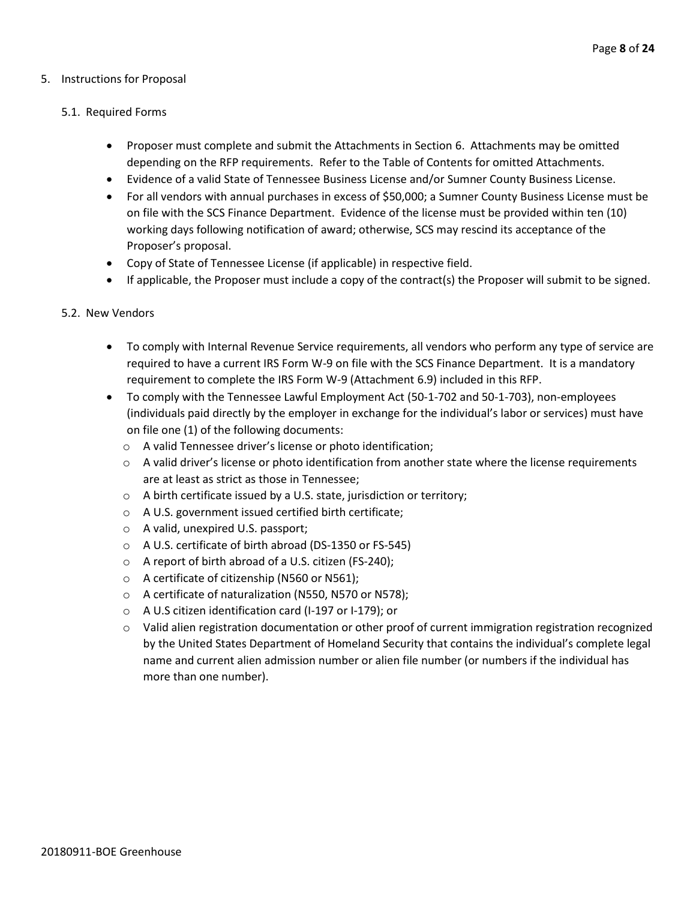#### 5. Instructions for Proposal

#### 5.1. Required Forms

- Proposer must complete and submit the Attachments in Section 6. Attachments may be omitted depending on the RFP requirements. Refer to the Table of Contents for omitted Attachments.
- Evidence of a valid State of Tennessee Business License and/or Sumner County Business License.
- For all vendors with annual purchases in excess of \$50,000; a Sumner County Business License must be on file with the SCS Finance Department. Evidence of the license must be provided within ten (10) working days following notification of award; otherwise, SCS may rescind its acceptance of the Proposer's proposal.
- Copy of State of Tennessee License (if applicable) in respective field.
- If applicable, the Proposer must include a copy of the contract(s) the Proposer will submit to be signed.

#### 5.2. New Vendors

- To comply with Internal Revenue Service requirements, all vendors who perform any type of service are required to have a current IRS Form W-9 on file with the SCS Finance Department. It is a mandatory requirement to complete the IRS Form W-9 (Attachment 6.9) included in this RFP.
- To comply with the Tennessee Lawful Employment Act (50-1-702 and 50-1-703), non-employees (individuals paid directly by the employer in exchange for the individual's labor or services) must have on file one (1) of the following documents:
	- o A valid Tennessee driver's license or photo identification;
	- $\circ$  A valid driver's license or photo identification from another state where the license requirements are at least as strict as those in Tennessee;
	- o A birth certificate issued by a U.S. state, jurisdiction or territory;
	- o A U.S. government issued certified birth certificate;
	- o A valid, unexpired U.S. passport;
	- o A U.S. certificate of birth abroad (DS-1350 or FS-545)
	- o A report of birth abroad of a U.S. citizen (FS-240);
	- o A certificate of citizenship (N560 or N561);
	- o A certificate of naturalization (N550, N570 or N578);
	- o A U.S citizen identification card (I-197 or I-179); or
	- $\circ$  Valid alien registration documentation or other proof of current immigration registration recognized by the United States Department of Homeland Security that contains the individual's complete legal name and current alien admission number or alien file number (or numbers if the individual has more than one number).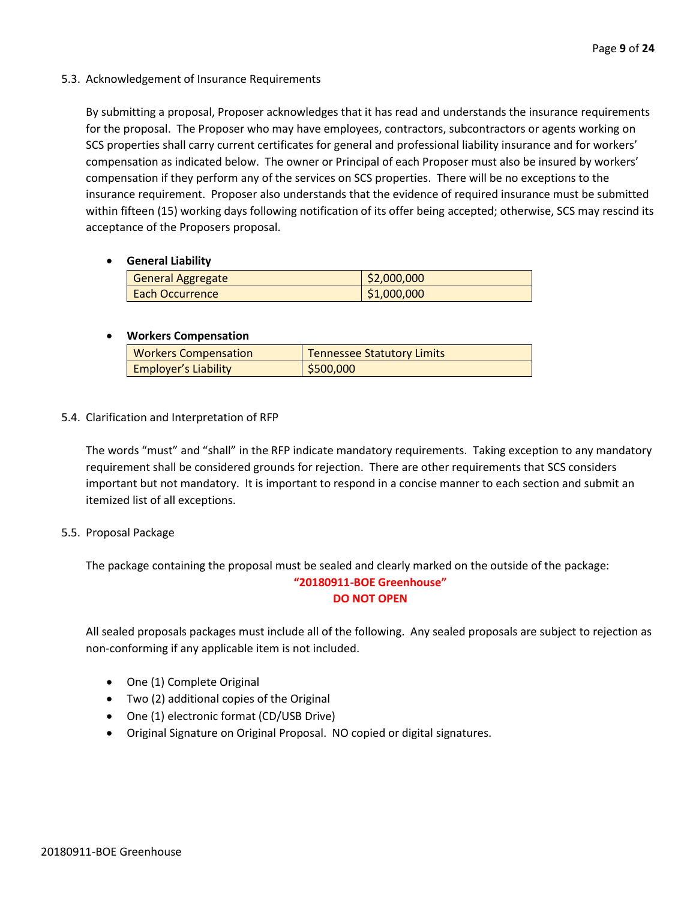#### 5.3. Acknowledgement of Insurance Requirements

By submitting a proposal, Proposer acknowledges that it has read and understands the insurance requirements for the proposal. The Proposer who may have employees, contractors, subcontractors or agents working on SCS properties shall carry current certificates for general and professional liability insurance and for workers' compensation as indicated below. The owner or Principal of each Proposer must also be insured by workers' compensation if they perform any of the services on SCS properties. There will be no exceptions to the insurance requirement. Proposer also understands that the evidence of required insurance must be submitted within fifteen (15) working days following notification of its offer being accepted; otherwise, SCS may rescind its acceptance of the Proposers proposal.

#### • **General Liability**

| <b>General Aggregate</b> | \$2,000,000 |
|--------------------------|-------------|
| <b>Each Occurrence</b>   | \$1,000,000 |

#### • **Workers Compensation**

| <b>Workers Compensation</b> | <b>Tennessee Statutory Limits</b> |
|-----------------------------|-----------------------------------|
| <b>Employer's Liability</b> | \$500,000                         |

#### 5.4. Clarification and Interpretation of RFP

The words "must" and "shall" in the RFP indicate mandatory requirements. Taking exception to any mandatory requirement shall be considered grounds for rejection. There are other requirements that SCS considers important but not mandatory. It is important to respond in a concise manner to each section and submit an itemized list of all exceptions.

#### 5.5. Proposal Package

The package containing the proposal must be sealed and clearly marked on the outside of the package:

#### **"20180911-BOE Greenhouse" DO NOT OPEN**

All sealed proposals packages must include all of the following. Any sealed proposals are subject to rejection as non-conforming if any applicable item is not included.

- One (1) Complete Original
- Two (2) additional copies of the Original
- One (1) electronic format (CD/USB Drive)
- Original Signature on Original Proposal. NO copied or digital signatures.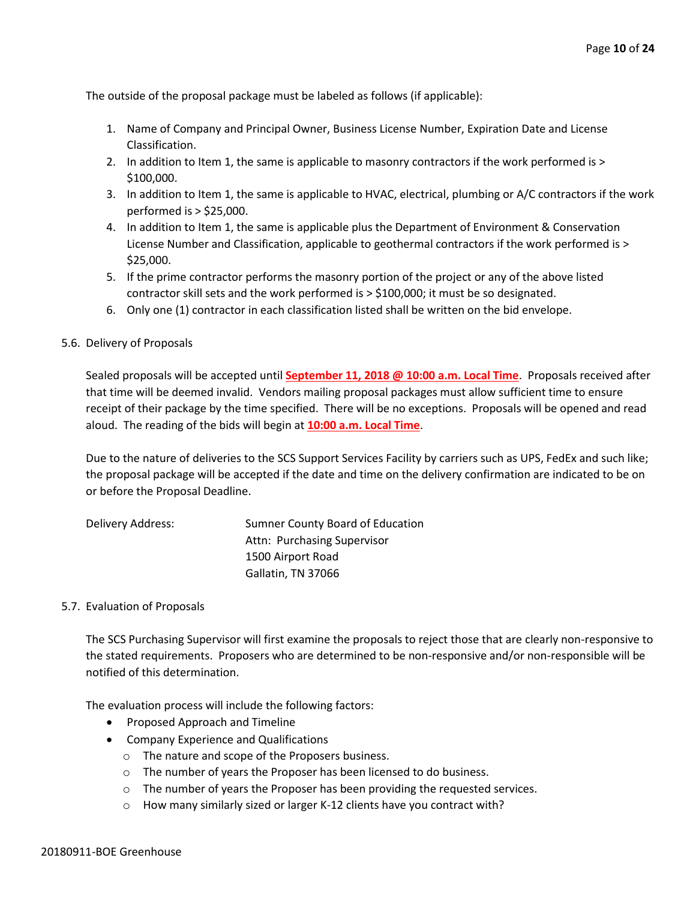The outside of the proposal package must be labeled as follows (if applicable):

- 1. Name of Company and Principal Owner, Business License Number, Expiration Date and License Classification.
- 2. In addition to Item 1, the same is applicable to masonry contractors if the work performed is > \$100,000.
- 3. In addition to Item 1, the same is applicable to HVAC, electrical, plumbing or A/C contractors if the work performed is > \$25,000.
- 4. In addition to Item 1, the same is applicable plus the Department of Environment & Conservation License Number and Classification, applicable to geothermal contractors if the work performed is > \$25,000.
- 5. If the prime contractor performs the masonry portion of the project or any of the above listed contractor skill sets and the work performed is > \$100,000; it must be so designated.
- 6. Only one (1) contractor in each classification listed shall be written on the bid envelope.

#### 5.6. Delivery of Proposals

Sealed proposals will be accepted until **September 11, 2018 @ 10:00 a.m. Local Time**. Proposals received after that time will be deemed invalid. Vendors mailing proposal packages must allow sufficient time to ensure receipt of their package by the time specified. There will be no exceptions. Proposals will be opened and read aloud. The reading of the bids will begin at **10:00 a.m. Local Time**.

Due to the nature of deliveries to the SCS Support Services Facility by carriers such as UPS, FedEx and such like; the proposal package will be accepted if the date and time on the delivery confirmation are indicated to be on or before the Proposal Deadline.

| Delivery Address: | Sumner County Board of Education |
|-------------------|----------------------------------|
|                   | Attn: Purchasing Supervisor      |
|                   | 1500 Airport Road                |
|                   | Gallatin, TN 37066               |

#### 5.7. Evaluation of Proposals

The SCS Purchasing Supervisor will first examine the proposals to reject those that are clearly non-responsive to the stated requirements. Proposers who are determined to be non-responsive and/or non-responsible will be notified of this determination.

The evaluation process will include the following factors:

- Proposed Approach and Timeline
- Company Experience and Qualifications
	- o The nature and scope of the Proposers business.
	- o The number of years the Proposer has been licensed to do business.
	- $\circ$  The number of years the Proposer has been providing the requested services.
	- o How many similarly sized or larger K-12 clients have you contract with?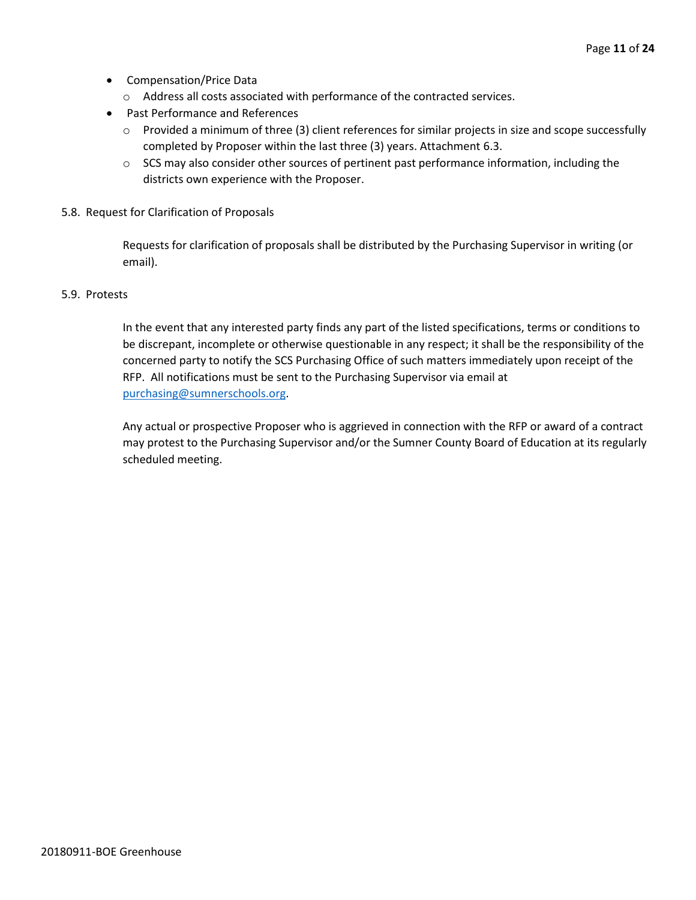- Compensation/Price Data
	- o Address all costs associated with performance of the contracted services.
- Past Performance and References
	- o Provided a minimum of three (3) client references for similar projects in size and scope successfully completed by Proposer within the last three (3) years. Attachment 6.3.
	- $\circ$  SCS may also consider other sources of pertinent past performance information, including the districts own experience with the Proposer.
- 5.8. Request for Clarification of Proposals

Requests for clarification of proposals shall be distributed by the Purchasing Supervisor in writing (or email).

#### 5.9. Protests

In the event that any interested party finds any part of the listed specifications, terms or conditions to be discrepant, incomplete or otherwise questionable in any respect; it shall be the responsibility of the concerned party to notify the SCS Purchasing Office of such matters immediately upon receipt of the RFP. All notifications must be sent to the Purchasing Supervisor via email at [purchasing@sumnerschools.org.](mailto:purchasing@sumnerschools.org)

Any actual or prospective Proposer who is aggrieved in connection with the RFP or award of a contract may protest to the Purchasing Supervisor and/or the Sumner County Board of Education at its regularly scheduled meeting.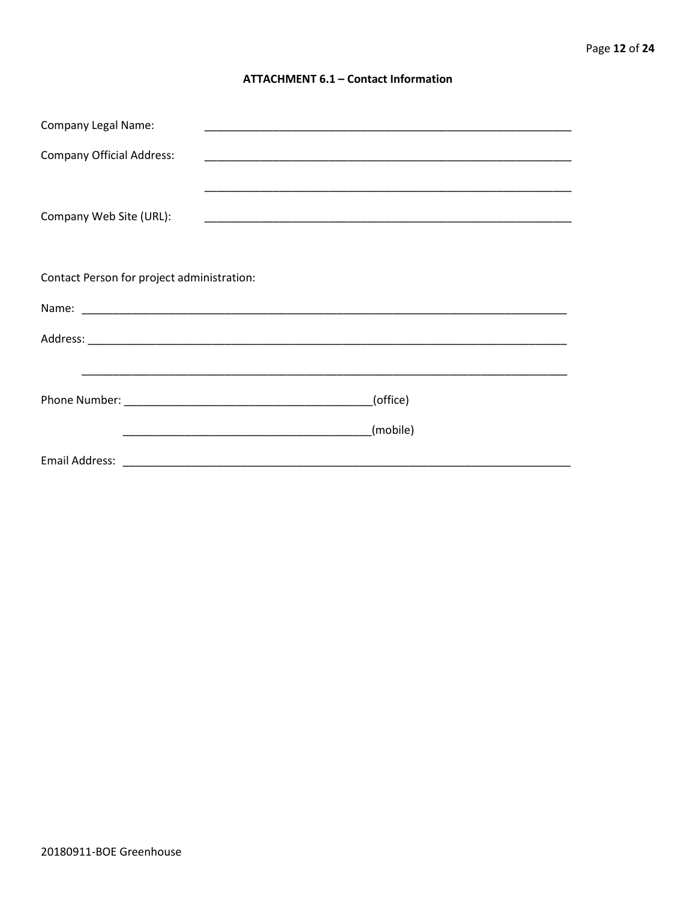#### **ATTACHMENT 6.1 - Contact Information**

| <b>Company Legal Name:</b>                 |          |
|--------------------------------------------|----------|
| <b>Company Official Address:</b>           |          |
|                                            |          |
| Company Web Site (URL):                    |          |
|                                            |          |
|                                            |          |
| Contact Person for project administration: |          |
|                                            |          |
|                                            |          |
|                                            |          |
|                                            | (office) |
|                                            |          |
|                                            | (mobile) |
|                                            |          |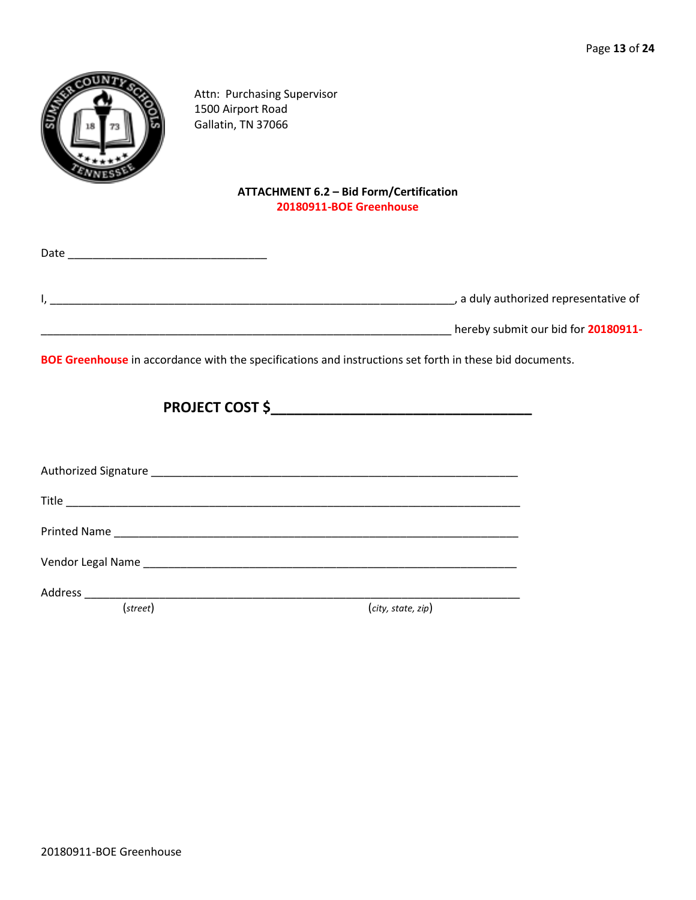

Attn: Purchasing Supervisor 1500 Airport Road Gallatin, TN 37066

#### **ATTACHMENT 6.2 – Bid Form/Certification 20180911-BOE Greenhouse**

| Date |                                     |
|------|-------------------------------------|
|      | a duly authorized representative of |
|      | hereby submit our bid for 20180911- |

**BOE Greenhouse** in accordance with the specifications and instructions set forth in these bid documents.

| (street) | (city, state, zip) |
|----------|--------------------|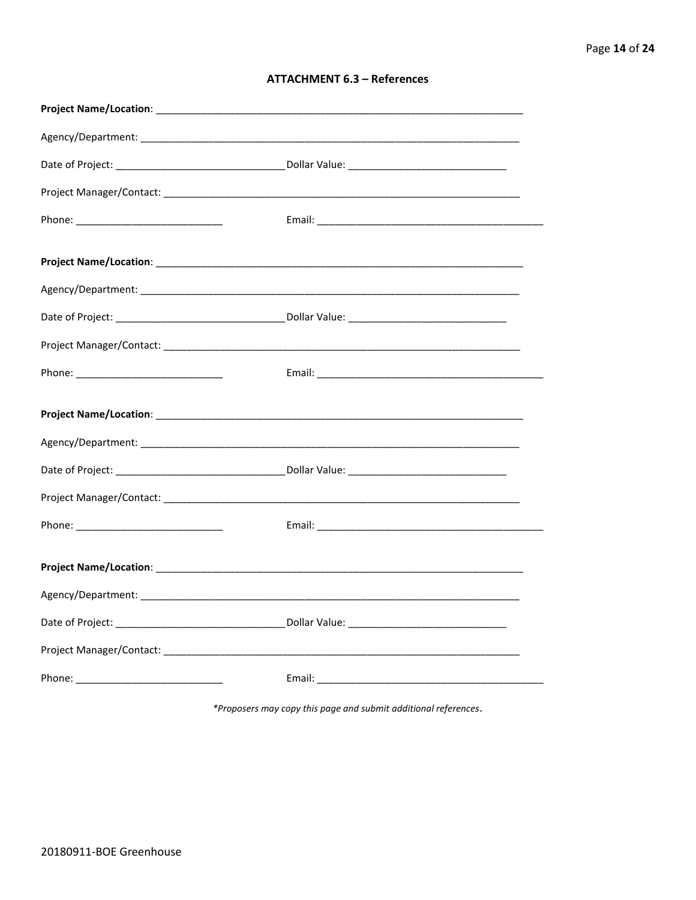| <b>ATTACHMENT 6.3 - References</b> |  |  |
|------------------------------------|--|--|
|------------------------------------|--|--|

\*Proposers may copy this page and submit additional references.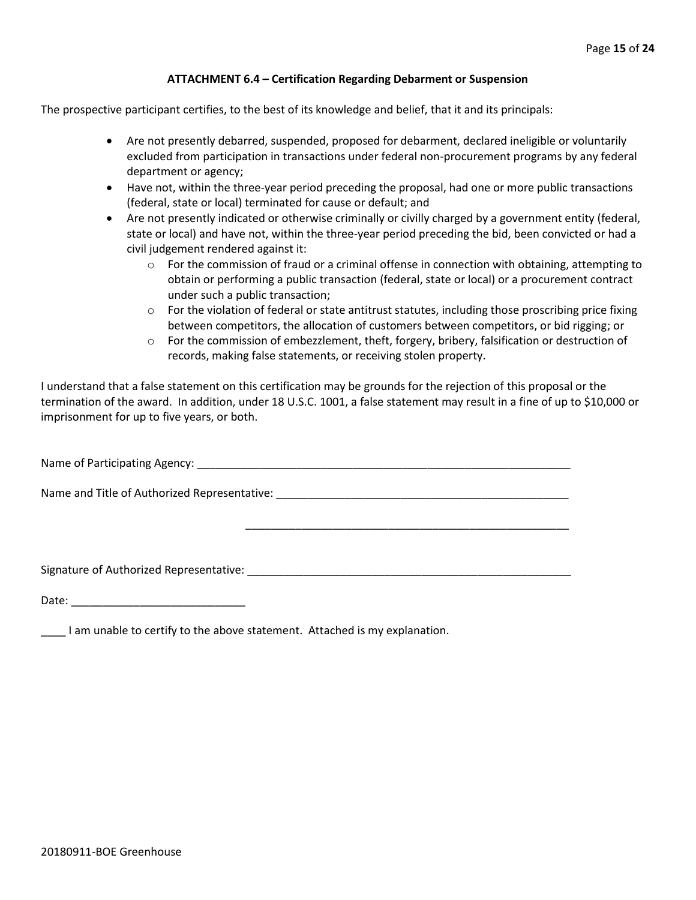#### **ATTACHMENT 6.4 – Certification Regarding Debarment or Suspension**

The prospective participant certifies, to the best of its knowledge and belief, that it and its principals:

- Are not presently debarred, suspended, proposed for debarment, declared ineligible or voluntarily excluded from participation in transactions under federal non-procurement programs by any federal department or agency;
- Have not, within the three-year period preceding the proposal, had one or more public transactions (federal, state or local) terminated for cause or default; and
- Are not presently indicated or otherwise criminally or civilly charged by a government entity (federal, state or local) and have not, within the three-year period preceding the bid, been convicted or had a civil judgement rendered against it:
	- $\circ$  For the commission of fraud or a criminal offense in connection with obtaining, attempting to obtain or performing a public transaction (federal, state or local) or a procurement contract under such a public transaction;
	- $\circ$  For the violation of federal or state antitrust statutes, including those proscribing price fixing between competitors, the allocation of customers between competitors, or bid rigging; or
	- $\circ$  For the commission of embezzlement, theft, forgery, bribery, falsification or destruction of records, making false statements, or receiving stolen property.

\_\_\_\_\_\_\_\_\_\_\_\_\_\_\_\_\_\_\_\_\_\_\_\_\_\_\_\_\_\_\_\_\_\_\_\_\_\_\_\_\_\_\_\_\_\_\_\_\_\_\_\_

I understand that a false statement on this certification may be grounds for the rejection of this proposal or the termination of the award. In addition, under 18 U.S.C. 1001, a false statement may result in a fine of up to \$10,000 or imprisonment for up to five years, or both.

Name of Participating Agency: \_\_\_\_\_\_\_\_\_\_\_\_\_\_\_\_\_\_\_\_\_\_\_\_\_\_\_\_\_\_\_\_\_\_\_\_\_\_\_\_\_\_\_\_\_\_\_\_\_\_\_\_\_\_\_\_\_\_\_\_

Name and Title of Authorized Representative: \_\_\_\_\_\_\_\_\_\_\_\_\_\_\_\_\_\_\_\_\_\_\_\_\_\_\_\_\_\_\_\_\_\_\_

Signature of Authorized Representative: \_\_\_\_\_\_\_\_\_\_\_\_\_\_\_\_\_\_\_\_\_\_\_\_\_\_\_\_\_\_\_\_\_\_\_\_\_\_\_\_\_\_\_\_\_\_\_\_\_\_\_\_

Date: \_\_\_\_\_\_\_\_\_\_\_\_\_\_\_\_\_\_\_\_\_\_\_\_\_\_\_\_

\_\_\_\_ I am unable to certify to the above statement. Attached is my explanation.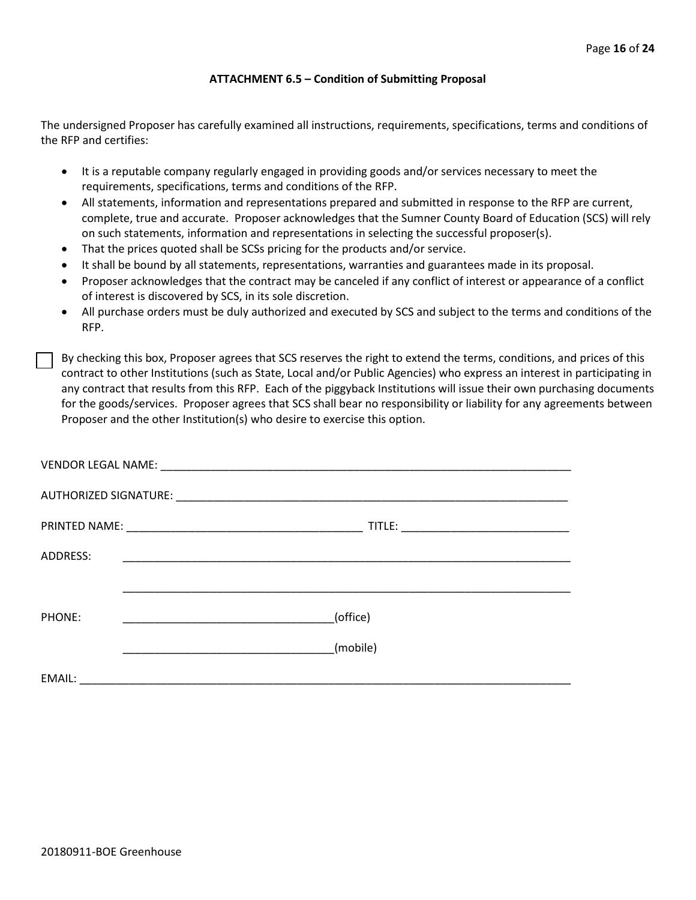#### **ATTACHMENT 6.5 – Condition of Submitting Proposal**

The undersigned Proposer has carefully examined all instructions, requirements, specifications, terms and conditions of the RFP and certifies:

- It is a reputable company regularly engaged in providing goods and/or services necessary to meet the requirements, specifications, terms and conditions of the RFP.
- All statements, information and representations prepared and submitted in response to the RFP are current, complete, true and accurate. Proposer acknowledges that the Sumner County Board of Education (SCS) will rely on such statements, information and representations in selecting the successful proposer(s).
- That the prices quoted shall be SCSs pricing for the products and/or service.
- It shall be bound by all statements, representations, warranties and guarantees made in its proposal.
- Proposer acknowledges that the contract may be canceled if any conflict of interest or appearance of a conflict of interest is discovered by SCS, in its sole discretion.
- All purchase orders must be duly authorized and executed by SCS and subject to the terms and conditions of the RFP.

By checking this box, Proposer agrees that SCS reserves the right to extend the terms, conditions, and prices of this contract to other Institutions (such as State, Local and/or Public Agencies) who express an interest in participating in any contract that results from this RFP. Each of the piggyback Institutions will issue their own purchasing documents for the goods/services. Proposer agrees that SCS shall bear no responsibility or liability for any agreements between Proposer and the other Institution(s) who desire to exercise this option.

| ADDRESS: |          |
|----------|----------|
|          |          |
| PHONE:   | (office) |
|          | (mobile) |
| EMAIL:   |          |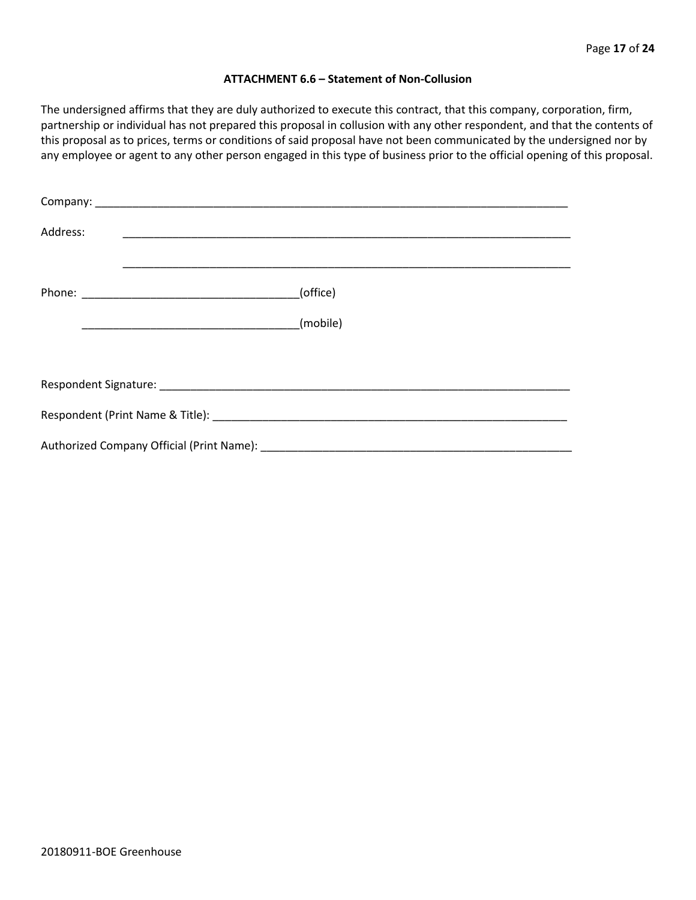#### **ATTACHMENT 6.6 – Statement of Non-Collusion**

The undersigned affirms that they are duly authorized to execute this contract, that this company, corporation, firm, partnership or individual has not prepared this proposal in collusion with any other respondent, and that the contents of this proposal as to prices, terms or conditions of said proposal have not been communicated by the undersigned nor by any employee or agent to any other person engaged in this type of business prior to the official opening of this proposal.

| Address: |          |  |  |  |  |
|----------|----------|--|--|--|--|
|          | (office) |  |  |  |  |
|          | (mobile) |  |  |  |  |
|          |          |  |  |  |  |
|          |          |  |  |  |  |
|          |          |  |  |  |  |
|          |          |  |  |  |  |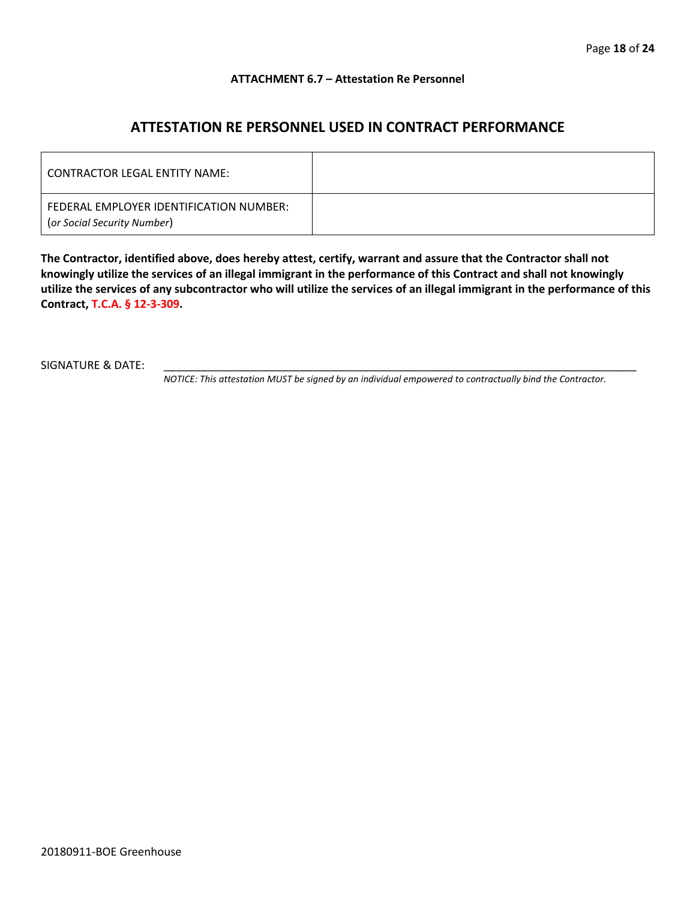#### **ATTACHMENT 6.7 – Attestation Re Personnel**

## **ATTESTATION RE PERSONNEL USED IN CONTRACT PERFORMANCE**

| CONTRACTOR LEGAL ENTITY NAME:                                          |  |
|------------------------------------------------------------------------|--|
| FEDERAL EMPLOYER IDENTIFICATION NUMBER:<br>(or Social Security Number) |  |

**The Contractor, identified above, does hereby attest, certify, warrant and assure that the Contractor shall not knowingly utilize the services of an illegal immigrant in the performance of this Contract and shall not knowingly utilize the services of any subcontractor who will utilize the services of an illegal immigrant in the performance of this Contract, T.C.A. § 12-3-309.**

SIGNATURE & DATE:

*NOTICE: This attestation MUST be signed by an individual empowered to contractually bind the Contractor.*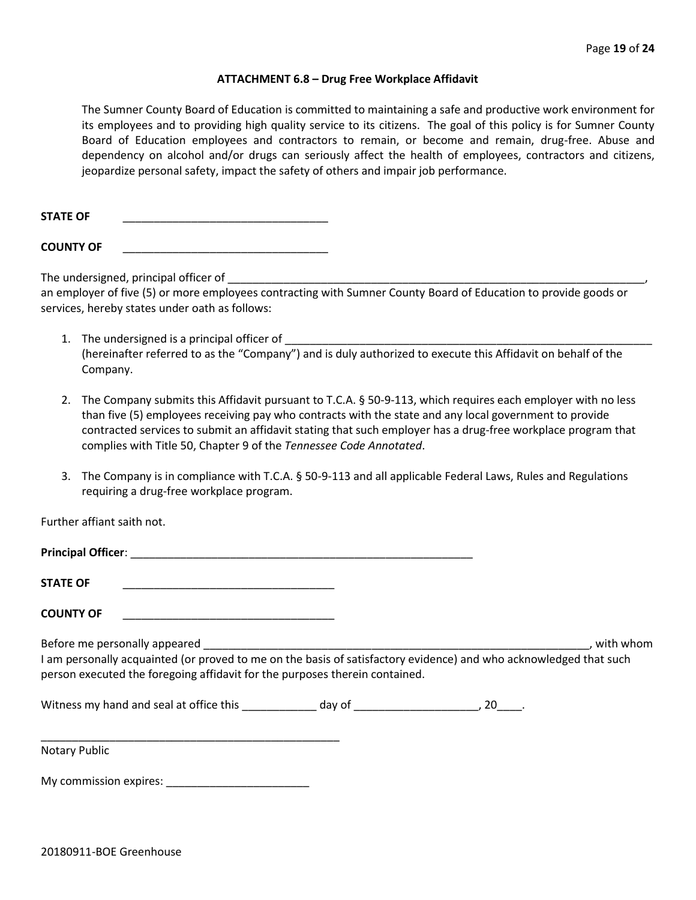#### **ATTACHMENT 6.8 – Drug Free Workplace Affidavit**

The Sumner County Board of Education is committed to maintaining a safe and productive work environment for its employees and to providing high quality service to its citizens. The goal of this policy is for Sumner County Board of Education employees and contractors to remain, or become and remain, drug-free. Abuse and dependency on alcohol and/or drugs can seriously affect the health of employees, contractors and citizens, jeopardize personal safety, impact the safety of others and impair job performance.

STATE OF

**COUNTY OF** \_\_\_\_\_\_\_\_\_\_\_\_\_\_\_\_\_\_\_\_\_\_\_\_\_\_\_\_\_\_\_\_\_

The undersigned, principal officer of

an employer of five (5) or more employees contracting with Sumner County Board of Education to provide goods or services, hereby states under oath as follows:

- 1. The undersigned is a principal officer of (hereinafter referred to as the "Company") and is duly authorized to execute this Affidavit on behalf of the Company.
- 2. The Company submits this Affidavit pursuant to T.C.A. § 50-9-113, which requires each employer with no less than five (5) employees receiving pay who contracts with the state and any local government to provide contracted services to submit an affidavit stating that such employer has a drug-free workplace program that complies with Title 50, Chapter 9 of the *Tennessee Code Annotated*.
- 3. The Company is in compliance with T.C.A. § 50-9-113 and all applicable Federal Laws, Rules and Regulations requiring a drug-free workplace program.

Further affiant saith not.

| <b>Principal Officer:</b>     |           |
|-------------------------------|-----------|
| <b>STATE OF</b>               |           |
| <b>COUNTY OF</b>              |           |
| Before me personally appeared | with whom |

I am personally acquainted (or proved to me on the basis of satisfactory evidence) and who acknowledged that such person executed the foregoing affidavit for the purposes therein contained.

Witness my hand and seal at office this \_\_\_\_\_\_\_\_\_\_\_\_\_ day of \_\_\_\_\_\_\_\_\_\_\_\_\_\_\_\_\_\_\_\_\_, 20\_\_\_\_.

\_\_\_\_\_\_\_\_\_\_\_\_\_\_\_\_\_\_\_\_\_\_\_\_\_\_\_\_\_\_\_\_\_\_\_\_\_\_\_\_\_\_\_\_\_\_\_\_ Notary Public

My commission expires: \_\_\_\_\_\_\_\_\_\_\_\_\_\_\_\_\_\_\_\_\_\_\_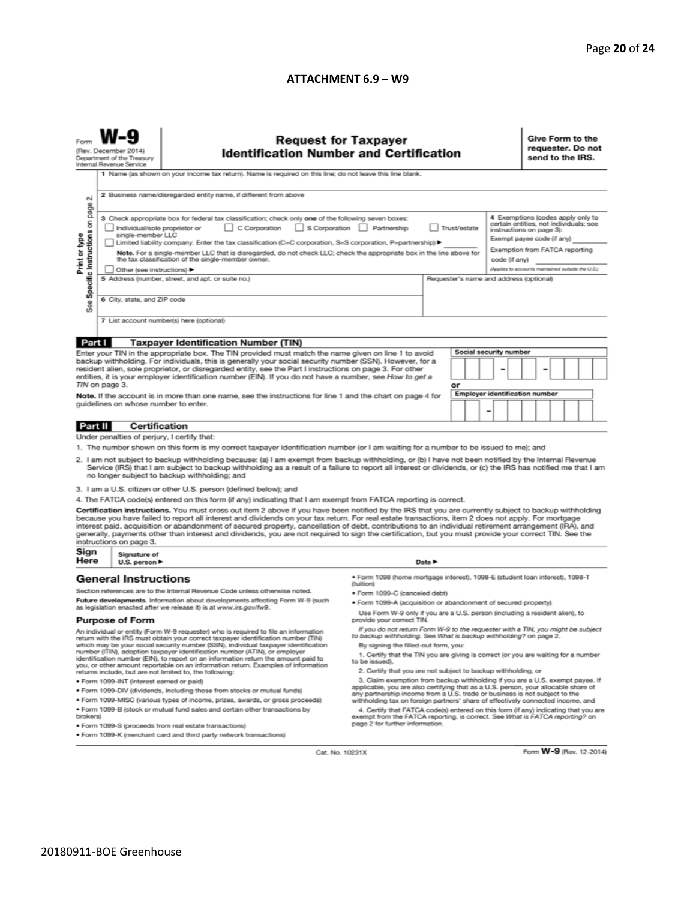#### **ATTACHMENT 6.9 – W9**

| <b>Request for Taxpayer</b><br>(Rev. December 2014)<br><b>Identification Number and Certification</b><br>Department of the Treasury<br>Internal Revenue Service<br>1 Name (as shown on your income tax return). Name is required on this line; do not leave this line blank.<br>2 Business name/disregarded entity name, if different from above<br>N<br>3 Check appropriate box for federal tax classification; check only one of the following seven boxes:                                               |                                                                                  |                                                                                                                                                                                                                                                                                                                                                                                                                                                                                                                                                                                                                               |                                                                                                                                                               |                                         |                        | 4 Exemptions (codes apply only to                                                                                                                                                       | Give Form to the<br>requester. Do not<br>send to the IRS. |  |
|-------------------------------------------------------------------------------------------------------------------------------------------------------------------------------------------------------------------------------------------------------------------------------------------------------------------------------------------------------------------------------------------------------------------------------------------------------------------------------------------------------------|----------------------------------------------------------------------------------|-------------------------------------------------------------------------------------------------------------------------------------------------------------------------------------------------------------------------------------------------------------------------------------------------------------------------------------------------------------------------------------------------------------------------------------------------------------------------------------------------------------------------------------------------------------------------------------------------------------------------------|---------------------------------------------------------------------------------------------------------------------------------------------------------------|-----------------------------------------|------------------------|-----------------------------------------------------------------------------------------------------------------------------------------------------------------------------------------|-----------------------------------------------------------|--|
| Specific Instructions on page<br>Print or type                                                                                                                                                                                                                                                                                                                                                                                                                                                              | Individual/sole proprietor or<br>single-member LLC<br>Other (see instructions) ▶ | C Corporation<br>Limited liability company. Enter the tax classification (C=C corporation, S=S corporation, P=partnership) ▶<br>Note. For a single-member LLC that is disregarded, do not check LLC; check the appropriate box in the line above for<br>the tax classification of the single-member owner.                                                                                                                                                                                                                                                                                                                    | S Corporation Partnership<br>Trust/estate<br>code (if any)                                                                                                    |                                         |                        | certain entities, not individuals; see<br>instructions on page 3):<br>Exempt payee code (if any)<br>Exemption from FATCA reporting<br>(Applies to accounts maintained outside the U.S.) |                                                           |  |
| See                                                                                                                                                                                                                                                                                                                                                                                                                                                                                                         | 6 City, state, and ZIP code                                                      | 5 Address (number, street, and apt. or suite no.)<br>7 List account number(s) here (optional)                                                                                                                                                                                                                                                                                                                                                                                                                                                                                                                                 |                                                                                                                                                               | Requester's name and address (optional) |                        |                                                                                                                                                                                         |                                                           |  |
| Part I                                                                                                                                                                                                                                                                                                                                                                                                                                                                                                      |                                                                                  | <b>Taxpayer Identification Number (TIN)</b>                                                                                                                                                                                                                                                                                                                                                                                                                                                                                                                                                                                   |                                                                                                                                                               |                                         |                        |                                                                                                                                                                                         |                                                           |  |
|                                                                                                                                                                                                                                                                                                                                                                                                                                                                                                             |                                                                                  | Enter your TIN in the appropriate box. The TIN provided must match the name given on line 1 to avoid                                                                                                                                                                                                                                                                                                                                                                                                                                                                                                                          |                                                                                                                                                               |                                         | Social security number |                                                                                                                                                                                         |                                                           |  |
| backup withholding. For individuals, this is generally your social security number (SSN). However, for a<br>resident alien, sole proprietor, or disregarded entity, see the Part I instructions on page 3. For other<br>entities, it is your employer identification number (EIN). If you do not have a number, see How to get a<br>TIN on page 3.                                                                                                                                                          |                                                                                  |                                                                                                                                                                                                                                                                                                                                                                                                                                                                                                                                                                                                                               |                                                                                                                                                               | or                                      |                        |                                                                                                                                                                                         |                                                           |  |
| Note. If the account is in more than one name, see the instructions for line 1 and the chart on page 4 for<br>guidelines on whose number to enter.                                                                                                                                                                                                                                                                                                                                                          |                                                                                  |                                                                                                                                                                                                                                                                                                                                                                                                                                                                                                                                                                                                                               | <b>Employer identification number</b><br>-                                                                                                                    |                                         |                        |                                                                                                                                                                                         |                                                           |  |
| Part II                                                                                                                                                                                                                                                                                                                                                                                                                                                                                                     | <b>Certification</b>                                                             |                                                                                                                                                                                                                                                                                                                                                                                                                                                                                                                                                                                                                               |                                                                                                                                                               |                                         |                        |                                                                                                                                                                                         |                                                           |  |
|                                                                                                                                                                                                                                                                                                                                                                                                                                                                                                             | Under penalties of perjury, I certify that:                                      |                                                                                                                                                                                                                                                                                                                                                                                                                                                                                                                                                                                                                               |                                                                                                                                                               |                                         |                        |                                                                                                                                                                                         |                                                           |  |
| 1. The number shown on this form is my correct taxpayer identification number (or I am waiting for a number to be issued to me); and<br>2. I am not subject to backup withholding because: (a) I am exempt from backup withholding, or (b) I have not been notified by the Internal Revenue<br>Service (IRS) that I am subject to backup withholding as a result of a failure to report all interest or dividends, or (c) the IRS has notified me that I am<br>no longer subject to backup withholding; and |                                                                                  |                                                                                                                                                                                                                                                                                                                                                                                                                                                                                                                                                                                                                               |                                                                                                                                                               |                                         |                        |                                                                                                                                                                                         |                                                           |  |
|                                                                                                                                                                                                                                                                                                                                                                                                                                                                                                             |                                                                                  | 3. I am a U.S. citizen or other U.S. person (defined below); and                                                                                                                                                                                                                                                                                                                                                                                                                                                                                                                                                              |                                                                                                                                                               |                                         |                        |                                                                                                                                                                                         |                                                           |  |
|                                                                                                                                                                                                                                                                                                                                                                                                                                                                                                             |                                                                                  | 4. The FATCA code(s) entered on this form (if any) indicating that I am exempt from FATCA reporting is correct.                                                                                                                                                                                                                                                                                                                                                                                                                                                                                                               |                                                                                                                                                               |                                         |                        |                                                                                                                                                                                         |                                                           |  |
|                                                                                                                                                                                                                                                                                                                                                                                                                                                                                                             | instructions on page 3.                                                          | Certification instructions. You must cross out item 2 above if you have been notified by the IRS that you are currently subject to backup withholding<br>because you have failed to report all interest and dividends on your tax return. For real estate transactions, item 2 does not apply. For mortgage<br>interest paid, acquisition or abandonment of secured property, cancellation of debt, contributions to an individual retirement arrangement (IRA), and<br>generally, payments other than interest and dividends, you are not required to sign the certification, but you must provide your correct TIN. See the |                                                                                                                                                               |                                         |                        |                                                                                                                                                                                         |                                                           |  |
| Sign<br>Here                                                                                                                                                                                                                                                                                                                                                                                                                                                                                                | Signature of<br>U.S. person ▶                                                    |                                                                                                                                                                                                                                                                                                                                                                                                                                                                                                                                                                                                                               | Date P                                                                                                                                                        |                                         |                        |                                                                                                                                                                                         |                                                           |  |
|                                                                                                                                                                                                                                                                                                                                                                                                                                                                                                             | <b>General Instructions</b>                                                      |                                                                                                                                                                                                                                                                                                                                                                                                                                                                                                                                                                                                                               | · Form 1098 (home mortgage interest), 1098-E (student Ioan interest), 1098-T<br>(tuition)                                                                     |                                         |                        |                                                                                                                                                                                         |                                                           |  |
|                                                                                                                                                                                                                                                                                                                                                                                                                                                                                                             |                                                                                  | Section references are to the Internal Revenue Code unless otherwise noted.                                                                                                                                                                                                                                                                                                                                                                                                                                                                                                                                                   | • Form 1099-C (canceled debt)                                                                                                                                 |                                         |                        |                                                                                                                                                                                         |                                                           |  |
| Future developments. Information about developments affecting Form W-9 (such<br>as legislation enacted after we release it) is at www.irs.gov/fw9.                                                                                                                                                                                                                                                                                                                                                          |                                                                                  | . Form 1099-A (acquisition or abandonment of secured property)                                                                                                                                                                                                                                                                                                                                                                                                                                                                                                                                                                |                                                                                                                                                               |                                         |                        |                                                                                                                                                                                         |                                                           |  |
| <b>Purpose of Form</b>                                                                                                                                                                                                                                                                                                                                                                                                                                                                                      |                                                                                  | Use Form W-9 only if you are a U.S. person (including a resident alien), to<br>provide your correct TIN.                                                                                                                                                                                                                                                                                                                                                                                                                                                                                                                      |                                                                                                                                                               |                                         |                        |                                                                                                                                                                                         |                                                           |  |
|                                                                                                                                                                                                                                                                                                                                                                                                                                                                                                             |                                                                                  | An individual or entity (Form W-9 requester) who is required to file an information<br>return with the IRS must obtain your correct taxpayer identification number (TIN)                                                                                                                                                                                                                                                                                                                                                                                                                                                      | If you do not return Form W-9 to the requester with a TIN, you might be subject<br>to backup withholding. See What is backup withholding? on page 2.          |                                         |                        |                                                                                                                                                                                         |                                                           |  |
| which may be your social security number (SSN), individual taxpayer identification<br>number (ITIN), adoption taxpayer identification number (ATIN), or employer<br>identification number (EIN), to report on an information return the amount paid to<br>you, or other amount reportable on an information return. Examples of information                                                                                                                                                                 |                                                                                  | By signing the filled-out form, you:<br>1. Certify that the TIN you are giving is correct (or you are waiting for a number<br>to be issued).<br>2. Certify that you are not subject to backup withholding, or                                                                                                                                                                                                                                                                                                                                                                                                                 |                                                                                                                                                               |                                         |                        |                                                                                                                                                                                         |                                                           |  |
| returns include, but are not limited to, the following:                                                                                                                                                                                                                                                                                                                                                                                                                                                     |                                                                                  | 3. Claim exemption from backup withholding if you are a U.S. exempt payee. If                                                                                                                                                                                                                                                                                                                                                                                                                                                                                                                                                 |                                                                                                                                                               |                                         |                        |                                                                                                                                                                                         |                                                           |  |
| · Form 1099-INT (interest earned or paid)<br>. Form 1099-DIV (dividends, including those from stocks or mutual funds)                                                                                                                                                                                                                                                                                                                                                                                       |                                                                                  |                                                                                                                                                                                                                                                                                                                                                                                                                                                                                                                                                                                                                               | applicable, you are also certifying that as a U.S. person, your allocable share of                                                                            |                                         |                        |                                                                                                                                                                                         |                                                           |  |
|                                                                                                                                                                                                                                                                                                                                                                                                                                                                                                             |                                                                                  | . Form 1099-MISC (various types of income, prizes, awards, or gross proceeds)                                                                                                                                                                                                                                                                                                                                                                                                                                                                                                                                                 | any partnership income from a U.S. trade or business is not subject to the<br>withholding tax on foreign partners' share of effectively connected income, and |                                         |                        |                                                                                                                                                                                         |                                                           |  |
| . Form 1099-B (stock or mutual fund sales and certain other transactions by<br>brokers)                                                                                                                                                                                                                                                                                                                                                                                                                     |                                                                                  | 4. Certify that FATCA code(s) entered on this form (if any) indicating that you are<br>exempt from the FATCA reporting, is correct. See What is FATCA reporting? on<br>page 2 for further information.                                                                                                                                                                                                                                                                                                                                                                                                                        |                                                                                                                                                               |                                         |                        |                                                                                                                                                                                         |                                                           |  |
| · Form 1099-S (proceeds from real estate transactions)<br>. Form 1099-K (merchant card and third party network transactions)                                                                                                                                                                                                                                                                                                                                                                                |                                                                                  |                                                                                                                                                                                                                                                                                                                                                                                                                                                                                                                                                                                                                               |                                                                                                                                                               |                                         |                        |                                                                                                                                                                                         |                                                           |  |

Cat. No. 10231X

Form **W-9** (Rev. 12-2014)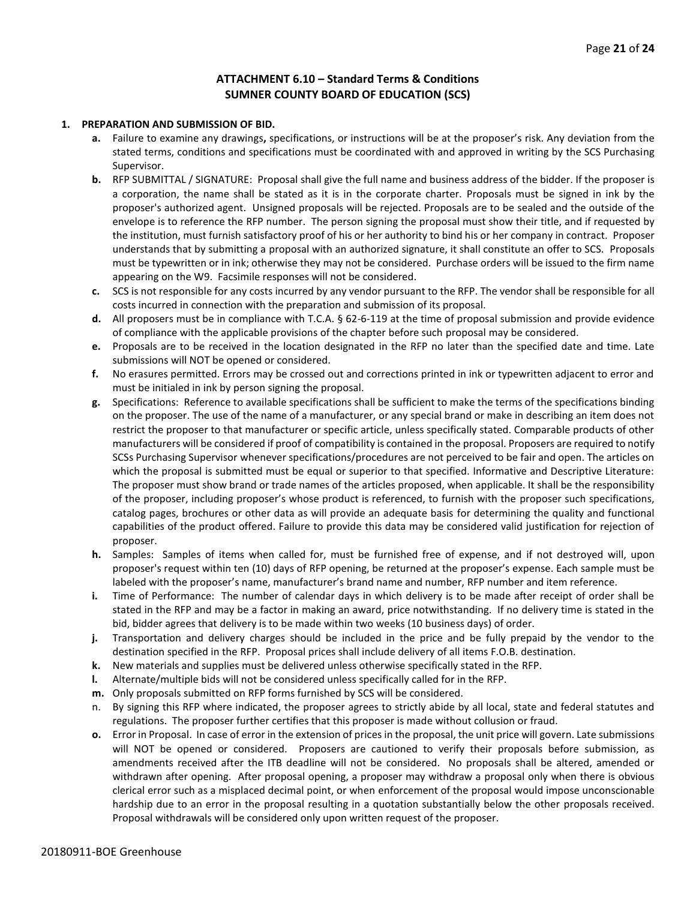#### **ATTACHMENT 6.10 – Standard Terms & Conditions SUMNER COUNTY BOARD OF EDUCATION (SCS)**

#### **1. PREPARATION AND SUBMISSION OF BID.**

- **a.** Failure to examine any drawings**,** specifications, or instructions will be at the proposer's risk. Any deviation from the stated terms, conditions and specifications must be coordinated with and approved in writing by the SCS Purchasing Supervisor.
- **b.** RFP SUBMITTAL / SIGNATURE: Proposal shall give the full name and business address of the bidder. If the proposer is a corporation, the name shall be stated as it is in the corporate charter. Proposals must be signed in ink by the proposer's authorized agent. Unsigned proposals will be rejected. Proposals are to be sealed and the outside of the envelope is to reference the RFP number. The person signing the proposal must show their title, and if requested by the institution, must furnish satisfactory proof of his or her authority to bind his or her company in contract. Proposer understands that by submitting a proposal with an authorized signature, it shall constitute an offer to SCS. Proposals must be typewritten or in ink; otherwise they may not be considered. Purchase orders will be issued to the firm name appearing on the W9. Facsimile responses will not be considered.
- **c.** SCS is not responsible for any costs incurred by any vendor pursuant to the RFP. The vendor shall be responsible for all costs incurred in connection with the preparation and submission of its proposal.
- **d.** All proposers must be in compliance with T.C.A. § 62-6-119 at the time of proposal submission and provide evidence of compliance with the applicable provisions of the chapter before such proposal may be considered.
- **e.** Proposals are to be received in the location designated in the RFP no later than the specified date and time. Late submissions will NOT be opened or considered.
- **f.** No erasures permitted. Errors may be crossed out and corrections printed in ink or typewritten adjacent to error and must be initialed in ink by person signing the proposal.
- **g.** Specifications: Reference to available specifications shall be sufficient to make the terms of the specifications binding on the proposer. The use of the name of a manufacturer, or any special brand or make in describing an item does not restrict the proposer to that manufacturer or specific article, unless specifically stated. Comparable products of other manufacturers will be considered if proof of compatibility is contained in the proposal. Proposers are required to notify SCSs Purchasing Supervisor whenever specifications/procedures are not perceived to be fair and open. The articles on which the proposal is submitted must be equal or superior to that specified. Informative and Descriptive Literature: The proposer must show brand or trade names of the articles proposed, when applicable. It shall be the responsibility of the proposer, including proposer's whose product is referenced, to furnish with the proposer such specifications, catalog pages, brochures or other data as will provide an adequate basis for determining the quality and functional capabilities of the product offered. Failure to provide this data may be considered valid justification for rejection of proposer.
- **h.** Samples: Samples of items when called for, must be furnished free of expense, and if not destroyed will, upon proposer's request within ten (10) days of RFP opening, be returned at the proposer's expense. Each sample must be labeled with the proposer's name, manufacturer's brand name and number, RFP number and item reference.
- **i.** Time of Performance: The number of calendar days in which delivery is to be made after receipt of order shall be stated in the RFP and may be a factor in making an award, price notwithstanding. If no delivery time is stated in the bid, bidder agrees that delivery is to be made within two weeks (10 business days) of order.
- **j.** Transportation and delivery charges should be included in the price and be fully prepaid by the vendor to the destination specified in the RFP. Proposal prices shall include delivery of all items F.O.B. destination.
- **k.** New materials and supplies must be delivered unless otherwise specifically stated in the RFP.
- **l.** Alternate/multiple bids will not be considered unless specifically called for in the RFP.
- **m.** Only proposals submitted on RFP forms furnished by SCS will be considered.
- By signing this RFP where indicated, the proposer agrees to strictly abide by all local, state and federal statutes and regulations. The proposer further certifies that this proposer is made without collusion or fraud.
- **o.** Error in Proposal. In case of error in the extension of prices in the proposal, the unit price will govern. Late submissions will NOT be opened or considered. Proposers are cautioned to verify their proposals before submission, as amendments received after the ITB deadline will not be considered. No proposals shall be altered, amended or withdrawn after opening. After proposal opening, a proposer may withdraw a proposal only when there is obvious clerical error such as a misplaced decimal point, or when enforcement of the proposal would impose unconscionable hardship due to an error in the proposal resulting in a quotation substantially below the other proposals received. Proposal withdrawals will be considered only upon written request of the proposer.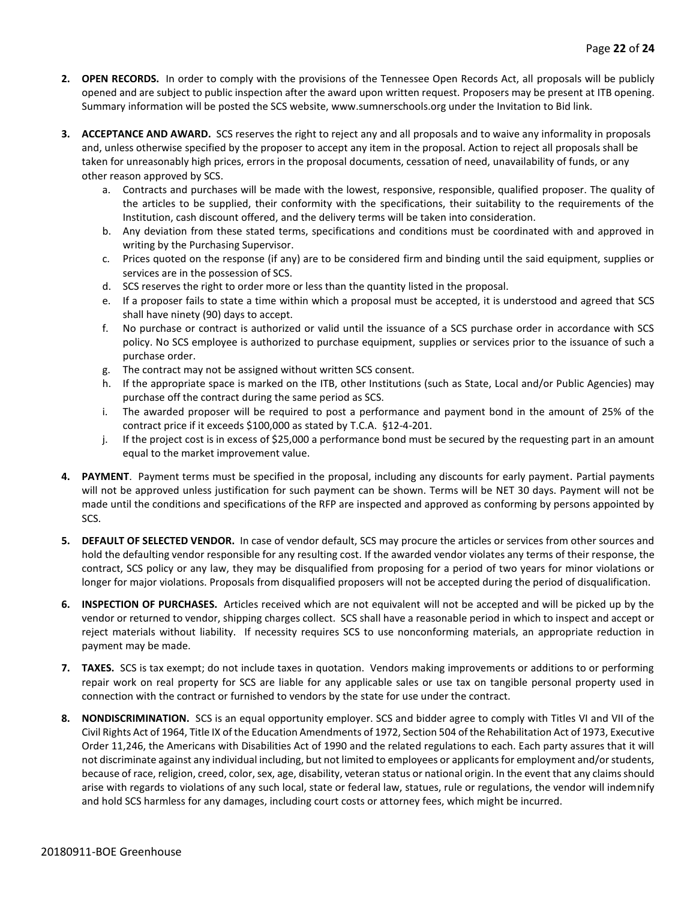- **2. OPEN RECORDS.** In order to comply with the provisions of the Tennessee Open Records Act, all proposals will be publicly opened and are subject to public inspection after the award upon written request. Proposers may be present at ITB opening. Summary information will be posted the SCS website, www.sumnerschools.org under the Invitation to Bid link.
- **3. ACCEPTANCE AND AWARD.** SCS reserves the right to reject any and all proposals and to waive any informality in proposals and, unless otherwise specified by the proposer to accept any item in the proposal. Action to reject all proposals shall be taken for unreasonably high prices, errors in the proposal documents, cessation of need, unavailability of funds, or any other reason approved by SCS.
	- a. Contracts and purchases will be made with the lowest, responsive, responsible, qualified proposer. The quality of the articles to be supplied, their conformity with the specifications, their suitability to the requirements of the Institution, cash discount offered, and the delivery terms will be taken into consideration.
	- b. Any deviation from these stated terms, specifications and conditions must be coordinated with and approved in writing by the Purchasing Supervisor.
	- c. Prices quoted on the response (if any) are to be considered firm and binding until the said equipment, supplies or services are in the possession of SCS.
	- d. SCS reserves the right to order more or less than the quantity listed in the proposal.
	- e. If a proposer fails to state a time within which a proposal must be accepted, it is understood and agreed that SCS shall have ninety (90) days to accept.
	- f. No purchase or contract is authorized or valid until the issuance of a SCS purchase order in accordance with SCS policy. No SCS employee is authorized to purchase equipment, supplies or services prior to the issuance of such a purchase order.
	- g. The contract may not be assigned without written SCS consent.
	- h. If the appropriate space is marked on the ITB, other Institutions (such as State, Local and/or Public Agencies) may purchase off the contract during the same period as SCS.
	- i. The awarded proposer will be required to post a performance and payment bond in the amount of 25% of the contract price if it exceeds \$100,000 as stated by T.C.A. §12-4-201.
	- j. If the project cost is in excess of \$25,000 a performance bond must be secured by the requesting part in an amount equal to the market improvement value.
- **4. PAYMENT**. Payment terms must be specified in the proposal, including any discounts for early payment. Partial payments will not be approved unless justification for such payment can be shown. Terms will be NET 30 days. Payment will not be made until the conditions and specifications of the RFP are inspected and approved as conforming by persons appointed by SCS.
- **5. DEFAULT OF SELECTED VENDOR.** In case of vendor default, SCS may procure the articles or services from other sources and hold the defaulting vendor responsible for any resulting cost. If the awarded vendor violates any terms of their response, the contract, SCS policy or any law, they may be disqualified from proposing for a period of two years for minor violations or longer for major violations. Proposals from disqualified proposers will not be accepted during the period of disqualification.
- **6. INSPECTION OF PURCHASES.** Articles received which are not equivalent will not be accepted and will be picked up by the vendor or returned to vendor, shipping charges collect. SCS shall have a reasonable period in which to inspect and accept or reject materials without liability. If necessity requires SCS to use nonconforming materials, an appropriate reduction in payment may be made.
- **7. TAXES.** SCS is tax exempt; do not include taxes in quotation. Vendors making improvements or additions to or performing repair work on real property for SCS are liable for any applicable sales or use tax on tangible personal property used in connection with the contract or furnished to vendors by the state for use under the contract.
- **8. NONDISCRIMINATION.** SCS is an equal opportunity employer. SCS and bidder agree to comply with Titles VI and VII of the Civil Rights Act of 1964, Title IX of the Education Amendments of 1972, Section 504 of the Rehabilitation Act of 1973, Executive Order 11,246, the Americans with Disabilities Act of 1990 and the related regulations to each. Each party assures that it will not discriminate against any individual including, but not limited to employees or applicants for employment and/or students, because of race, religion, creed, color, sex, age, disability, veteran status or national origin. In the event that any claims should arise with regards to violations of any such local, state or federal law, statues, rule or regulations, the vendor will indemnify and hold SCS harmless for any damages, including court costs or attorney fees, which might be incurred.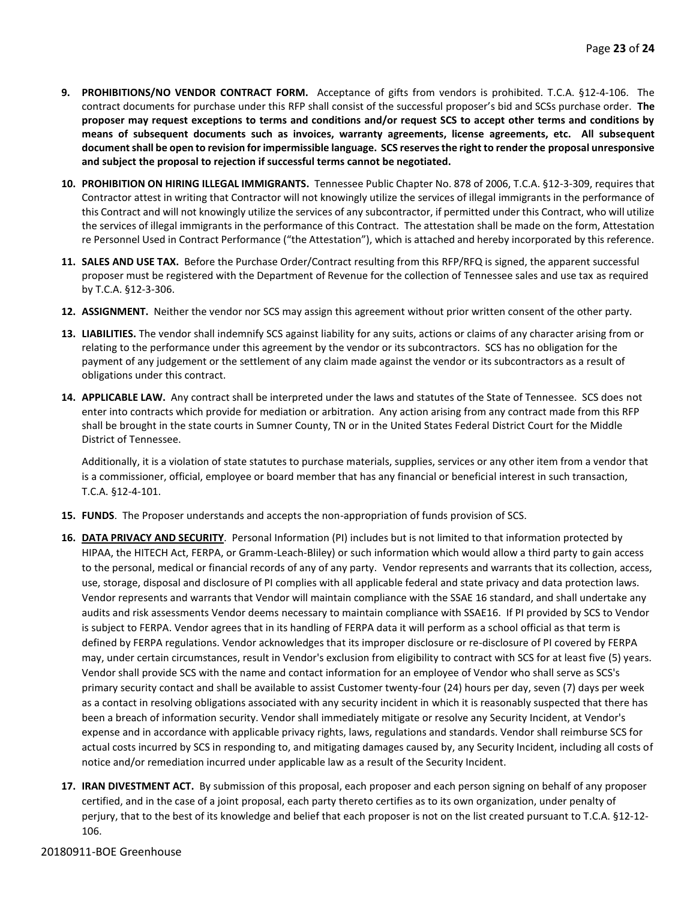- **9. PROHIBITIONS/NO VENDOR CONTRACT FORM.** Acceptance of gifts from vendors is prohibited. T.C.A. §12-4-106. The contract documents for purchase under this RFP shall consist of the successful proposer's bid and SCSs purchase order. **The proposer may request exceptions to terms and conditions and/or request SCS to accept other terms and conditions by means of subsequent documents such as invoices, warranty agreements, license agreements, etc. All subsequent document shall be open to revision for impermissible language. SCS reserves the right to render the proposal unresponsive and subject the proposal to rejection if successful terms cannot be negotiated.**
- **10. PROHIBITION ON HIRING ILLEGAL IMMIGRANTS.** Tennessee Public Chapter No. 878 of 2006, T.C.A. §12-3-309, requires that Contractor attest in writing that Contractor will not knowingly utilize the services of illegal immigrants in the performance of this Contract and will not knowingly utilize the services of any subcontractor, if permitted under this Contract, who will utilize the services of illegal immigrants in the performance of this Contract. The attestation shall be made on the form, Attestation re Personnel Used in Contract Performance ("the Attestation"), which is attached and hereby incorporated by this reference.
- **11. SALES AND USE TAX.** Before the Purchase Order/Contract resulting from this RFP/RFQ is signed, the apparent successful proposer must be registered with the Department of Revenue for the collection of Tennessee sales and use tax as required by T.C.A. §12-3-306.
- **12. ASSIGNMENT.** Neither the vendor nor SCS may assign this agreement without prior written consent of the other party.
- **13. LIABILITIES.** The vendor shall indemnify SCS against liability for any suits, actions or claims of any character arising from or relating to the performance under this agreement by the vendor or its subcontractors. SCS has no obligation for the payment of any judgement or the settlement of any claim made against the vendor or its subcontractors as a result of obligations under this contract.
- **14. APPLICABLE LAW.** Any contract shall be interpreted under the laws and statutes of the State of Tennessee. SCS does not enter into contracts which provide for mediation or arbitration. Any action arising from any contract made from this RFP shall be brought in the state courts in Sumner County, TN or in the United States Federal District Court for the Middle District of Tennessee.

Additionally, it is a violation of state statutes to purchase materials, supplies, services or any other item from a vendor that is a commissioner, official, employee or board member that has any financial or beneficial interest in such transaction, T.C.A. §12-4-101.

- **15. FUNDS**. The Proposer understands and accepts the non-appropriation of funds provision of SCS.
- **16. DATA PRIVACY AND SECURITY**. Personal Information (PI) includes but is not limited to that information protected by HIPAA, the HITECH Act, FERPA, or Gramm-Leach-Bliley) or such information which would allow a third party to gain access to the personal, medical or financial records of any of any party. Vendor represents and warrants that its collection, access, use, storage, disposal and disclosure of PI complies with all applicable federal and state privacy and data protection laws. Vendor represents and warrants that Vendor will maintain compliance with the SSAE 16 standard, and shall undertake any audits and risk assessments Vendor deems necessary to maintain compliance with SSAE16. If PI provided by SCS to Vendor is subject to FERPA. Vendor agrees that in its handling of FERPA data it will perform as a school official as that term is defined by FERPA regulations. Vendor acknowledges that its improper disclosure or re-disclosure of PI covered by FERPA may, under certain circumstances, result in Vendor's exclusion from eligibility to contract with SCS for at least five (5) years. Vendor shall provide SCS with the name and contact information for an employee of Vendor who shall serve as SCS's primary security contact and shall be available to assist Customer twenty-four (24) hours per day, seven (7) days per week as a contact in resolving obligations associated with any security incident in which it is reasonably suspected that there has been a breach of information security. Vendor shall immediately mitigate or resolve any Security Incident, at Vendor's expense and in accordance with applicable privacy rights, laws, regulations and standards. Vendor shall reimburse SCS for actual costs incurred by SCS in responding to, and mitigating damages caused by, any Security Incident, including all costs of notice and/or remediation incurred under applicable law as a result of the Security Incident.
- **17. IRAN DIVESTMENT ACT.** By submission of this proposal, each proposer and each person signing on behalf of any proposer certified, and in the case of a joint proposal, each party thereto certifies as to its own organization, under penalty of perjury, that to the best of its knowledge and belief that each proposer is not on the list created pursuant to T.C.A. §12-12- 106.